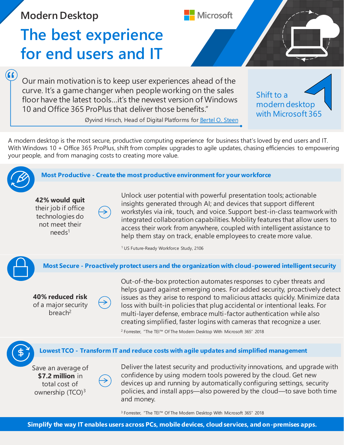**Modern Desktop**

## **The best experience for end users and IT**

Our main motivation is to keep user experiences ahead of the curve. It's a game changer when people working on the sales floor have the latest tools…it's the newest version of Windows 10 and Office 365 ProPlus that deliver those benefits."

Shift to a modern desktop with Microsoft 365

Øyvind Hirsch, Head of Digital Platforms for [Bertel O. Steen](http://o365pp.blob.core.windows.net/media/Microsoft 365 Powered Devices Atea and BOS.pdf)

A modern desktop is the most secure, productive computing experience for business that's loved by end users and IT. With Windows 10 + Office 365 ProPlus, shift from complex upgrades to agile updates, chasing efficiencies to empowering your people, and from managing costs to creating more value.



 $\left( \text{G} \right)$ 

**Most Productive - Create the most productive environment for your workforce**

**42% would quit**  their job if office technologies do not meet their  $needs<sup>1</sup>$ 

Unlock user potential with powerful presentation tools; actionable insights generated through AI; and devices that support different workstyles via ink, touch, and voice. Support best-in-class teamwork with integrated collaboration capabilities. Mobility features that allow users to access their work from anywhere, coupled with intelligent assistance to help them stay on track, enable employees to create more value.

**Microsoft** 

<sup>1</sup> US Future-Ready Workforce Study, 2106



**Most Secure - Proactively protect users and the organization with cloud-powered intelligent security**

**40% reduced risk**  of a major security breach<sup>2</sup>

Out-of-the-box protection automates responses to cyber threats and helps guard against emerging ones. For added security, proactively detect issues as they arise to respond to malicious attacks quickly. Minimize data loss with built-in policies that plug accidental or intentional leaks. For multi-layer defense, embrace multi-factor authentication while also creating simplified, faster logins with cameras that recognize a user.

<sup>2</sup> Forrester, "The TEI™ Of The Modern Desktop With Microsoft 365" 2018

## **Lowest TCO - Transform IT and reduce costs with agile updates and simplified management**

Save an average of **\$7.2 million** in total cost of ownership  $(TCO)^3$ 

Deliver the latest security and productivity innovations, and upgrade with confidence by using modern tools powered by the cloud. Get new devices up and running by automatically configuring settings, security policies, and install apps—also powered by the cloud—to save both time and money.

<sup>3</sup> Forrester, "The TEI™ Of The Modern Desktop With Microsoft 365" 2018